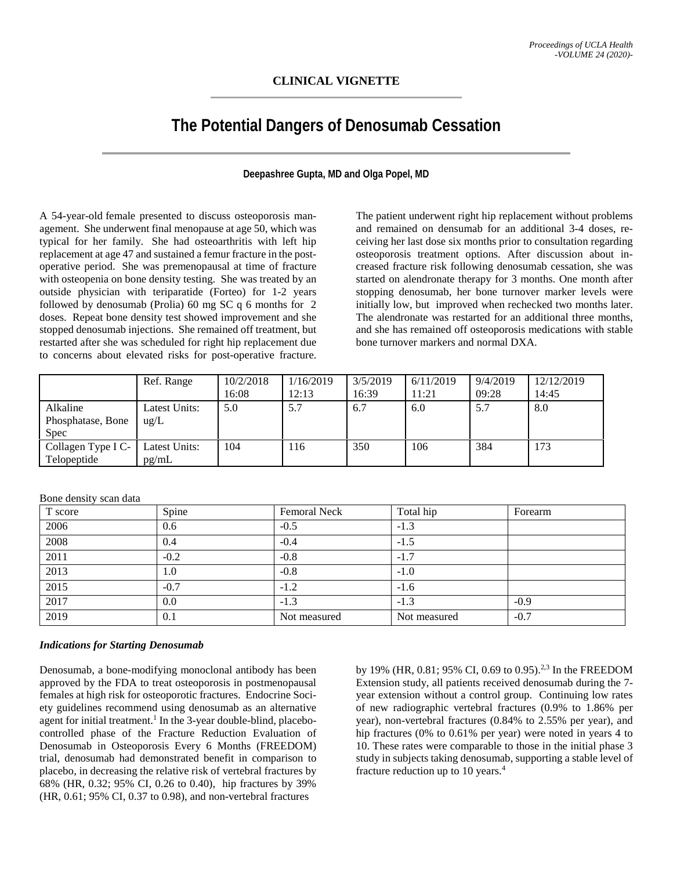# **CLINICAL VIGNETTE**

# **The Potential Dangers of Denosumab Cessation**

## **Deepashree Gupta, MD and Olga Popel, MD**

A 54-year-old female presented to discuss osteoporosis management. She underwent final menopause at age 50, which was typical for her family. She had osteoarthritis with left hip replacement at age 47 and sustained a femur fracture in the postoperative period. She was premenopausal at time of fracture with osteopenia on bone density testing. She was treated by an outside physician with teriparatide (Forteo) for 1-2 years followed by denosumab (Prolia) 60 mg SC q 6 months for 2 doses. Repeat bone density test showed improvement and she stopped denosumab injections. She remained off treatment, but restarted after she was scheduled for right hip replacement due to concerns about elevated risks for post-operative fracture. The patient underwent right hip replacement without problems and remained on densumab for an additional 3-4 doses, receiving her last dose six months prior to consultation regarding osteoporosis treatment options. After discussion about increased fracture risk following denosumab cessation, she was started on alendronate therapy for 3 months. One month after stopping denosumab, her bone turnover marker levels were initially low, but improved when rechecked two months later. The alendronate was restarted for an additional three months, and she has remained off osteoporosis medications with stable bone turnover markers and normal DXA.

|                                              | Ref. Range                     | 10/2/2018<br>16:08 | 1/16/2019<br>12:13 | 3/5/2019<br>16:39 | 6/11/2019<br>1:21 | 9/4/2019<br>09:28 | 12/12/2019<br>14:45 |
|----------------------------------------------|--------------------------------|--------------------|--------------------|-------------------|-------------------|-------------------|---------------------|
| Alkaline<br>Phosphatase, Bone<br><b>Spec</b> | Latest Units:<br>$\text{ug/L}$ | 5.0                | 5.7                | 6.7               | 6.0               | 5.7               | 8.0                 |
| Collagen Type I C-<br>Telopeptide            | Latest Units:<br>pg/mL         | 104                | 116                | 350               | 106               | 384               | 173                 |

Bone density scan data

| T score | Spine  | <b>Femoral Neck</b> | Total hip    | Forearm |  |
|---------|--------|---------------------|--------------|---------|--|
| 2006    | 0.6    | $-0.5$              | $-1.3$       |         |  |
| 2008    | 0.4    | $-0.4$              | $-1.5$       |         |  |
| 2011    | $-0.2$ | $-0.8$              | $-1.7$       |         |  |
| 2013    | 1.0    | $-0.8$              | $-1.0$       |         |  |
| 2015    | $-0.7$ | $-1.2$              | $-1.6$       |         |  |
| 2017    | 0.0    | $-1.3$              | $-1.3$       | $-0.9$  |  |
| 2019    | 0.1    | Not measured        | Not measured | $-0.7$  |  |

#### *Indications for Starting Denosumab*

Denosumab, a bone-modifying monoclonal antibody has been approved by the FDA to treat osteoporosis in postmenopausal females at high risk for osteoporotic fractures. Endocrine Society guidelines recommend using denosumab as an alternative agent for initial treatment.<sup>1</sup> In the 3-year double-blind, placebocontrolled phase of the Fracture Reduction Evaluation of Denosumab in Osteoporosis Every 6 Months (FREEDOM) trial, denosumab had demonstrated benefit in comparison to placebo, in decreasing the relative risk of vertebral fractures by 68% (HR, 0.32; 95% CI, 0.26 to 0.40), hip fractures by 39% (HR, 0.61; 95% CI, 0.37 to 0.98), and non-vertebral fractures

by 19% (HR, 0.81; 95% CI, 0.69 to 0.95).2,3 In the FREEDOM Extension study, all patients received denosumab during the 7 year extension without a control group. Continuing low rates of new radiographic vertebral fractures (0.9% to 1.86% per year), non-vertebral fractures (0.84% to 2.55% per year), and hip fractures (0% to 0.61% per year) were noted in years 4 to 10. These rates were comparable to those in the initial phase 3 study in subjects taking denosumab, supporting a stable level of fracture reduction up to 10 years.4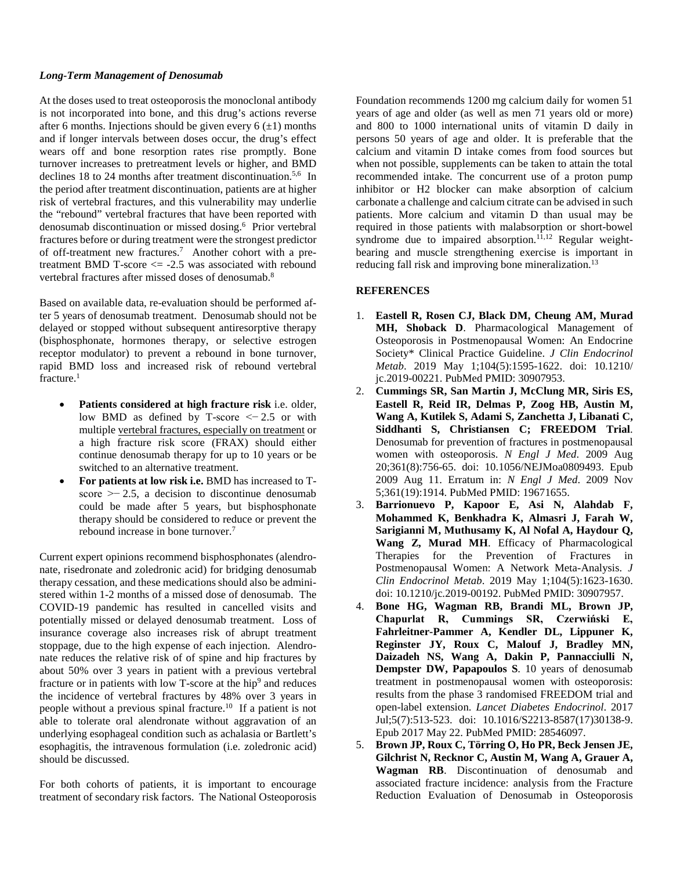### *Long-Term Management of Denosumab*

At the doses used to treat osteoporosis the monoclonal antibody is not incorporated into bone, and this drug's actions reverse after 6 months. Injections should be given every  $6 (\pm 1)$  months and if longer intervals between doses occur, the drug's effect wears off and bone resorption rates rise promptly. Bone turnover increases to pretreatment levels or higher, and BMD declines 18 to 24 months after treatment discontinuation.<sup>5,6</sup> In the period after treatment discontinuation, patients are at higher risk of vertebral fractures, and this vulnerability may underlie the "rebound" vertebral fractures that have been reported with denosumab discontinuation or missed dosing.<sup>6</sup> Prior vertebral fractures before or during treatment were the strongest predictor of off-treatment new fractures.<sup>7</sup> Another cohort with a pretreatment BMD T-score  $\le$  -2.5 was associated with rebound vertebral fractures after missed doses of denosumab. 8

Based on available data, re-evaluation should be performed after 5 years of denosumab treatment. Denosumab should not be delayed or stopped without subsequent antiresorptive therapy (bisphosphonate, hormones therapy, or selective estrogen receptor modulator) to prevent a rebound in bone turnover, rapid BMD loss and increased risk of rebound vertebral fracture.<sup>1</sup>

- **Patients considered at high fracture risk** i.e. older, low BMD as defined by T-score <− 2.5 or with multipl[e vertebral fractures,](https://www.sciencedirect.com/topics/medicine-and-dentistry/spine-fracture) especially on treatment or a high fracture risk score (FRAX) should either continue denosumab therapy for up to 10 years or be switched to an alternative treatment.
- **For patients at low risk i.e.** BMD has increased to Tscore  $\ge$  - 2.5, a decision to discontinue denosumab could be made after 5 years, but bisphosphonate therapy should be considered to reduce or prevent the rebound increase in bone turnover. 7

Current expert opinions recommend bisphosphonates (alendronate, risedronate and zoledronic acid) for bridging denosumab therapy cessation, and these medications should also be administered within 1-2 months of a missed dose of denosumab. The COVID-19 pandemic has resulted in cancelled visits and potentially missed or delayed denosumab treatment. Loss of insurance coverage also increases risk of abrupt treatment stoppage, due to the high expense of each injection. Alendronate reduces the relative risk of of spine and hip fractures by about 50% over 3 years in patient with a previous vertebral fracture or in patients with low T-score at the hip<sup>9</sup> and reduces the incidence of vertebral fractures by 48% over 3 years in people without a previous spinal fracture.10 If a patient is not able to tolerate oral alendronate without aggravation of an underlying esophageal condition such as achalasia or Bartlett's esophagitis, the intravenous formulation (i.e. zoledronic acid) should be discussed.

For both cohorts of patients, it is important to encourage treatment of secondary risk factors. The National Osteoporosis

Foundation recommends 1200 mg calcium daily for women 51 years of age and older (as well as men 71 years old or more) and 800 to 1000 international units of vitamin D daily in persons 50 years of age and older. It is preferable that the calcium and vitamin D intake comes from food sources but when not possible, supplements can be taken to attain the total recommended intake. The concurrent use of a proton pump inhibitor or H2 blocker can make absorption of calcium carbonate a challenge and calcium citrate can be advised in such patients. More calcium and vitamin D than usual may be required in those patients with malabsorption or short-bowel syndrome due to impaired absorption.<sup>11,12</sup> Regular weightbearing and muscle strengthening exercise is important in reducing fall risk and improving bone mineralization.<sup>13</sup>

## **REFERENCES**

- 1. **Eastell R, Rosen CJ, Black DM, Cheung AM, Murad MH, Shoback D**. Pharmacological Management of Osteoporosis in Postmenopausal Women: An Endocrine Society\* Clinical Practice Guideline. *J Clin Endocrinol Metab*. 2019 May 1;104(5):1595-1622. doi: 10.1210/ jc.2019-00221. PubMed PMID: 30907953.
- 2. **Cummings SR, San Martin J, McClung MR, Siris ES, Eastell R, Reid IR, Delmas P, Zoog HB, Austin M, Wang A, Kutilek S, Adami S, Zanchetta J, Libanati C, Siddhanti S, Christiansen C; FREEDOM Trial**. Denosumab for prevention of fractures in postmenopausal women with osteoporosis. *N Engl J Med*. 2009 Aug 20;361(8):756-65. doi: 10.1056/NEJMoa0809493. Epub 2009 Aug 11. Erratum in: *N Engl J Med*. 2009 Nov 5;361(19):1914. PubMed PMID: 19671655.
- 3. **Barrionuevo P, Kapoor E, Asi N, Alahdab F, Mohammed K, Benkhadra K, Almasri J, Farah W, Sarigianni M, Muthusamy K, Al Nofal A, Haydour Q, Wang Z, Murad MH**. Efficacy of Pharmacological Therapies for the Prevention of Fractures in Postmenopausal Women: A Network Meta-Analysis. *J Clin Endocrinol Metab*. 2019 May 1;104(5):1623-1630. doi: 10.1210/jc.2019-00192. PubMed PMID: 30907957.
- 4. **Bone HG, Wagman RB, Brandi ML, Brown JP, Chapurlat R, Cummings SR, Czerwiński E, Fahrleitner-Pammer A, Kendler DL, Lippuner K, Reginster JY, Roux C, Malouf J, Bradley MN, Daizadeh NS, Wang A, Dakin P, Pannacciulli N, Dempster DW, Papapoulos S**. 10 years of denosumab treatment in postmenopausal women with osteoporosis: results from the phase 3 randomised FREEDOM trial and open-label extension. *Lancet Diabetes Endocrinol*. 2017 Jul;5(7):513-523. doi: 10.1016/S2213-8587(17)30138-9. Epub 2017 May 22. PubMed PMID: 28546097.
- 5. **Brown JP, Roux C, Törring O, Ho PR, Beck Jensen JE, Gilchrist N, Recknor C, Austin M, Wang A, Grauer A, Wagman RB**. Discontinuation of denosumab and associated fracture incidence: analysis from the Fracture Reduction Evaluation of Denosumab in Osteoporosis